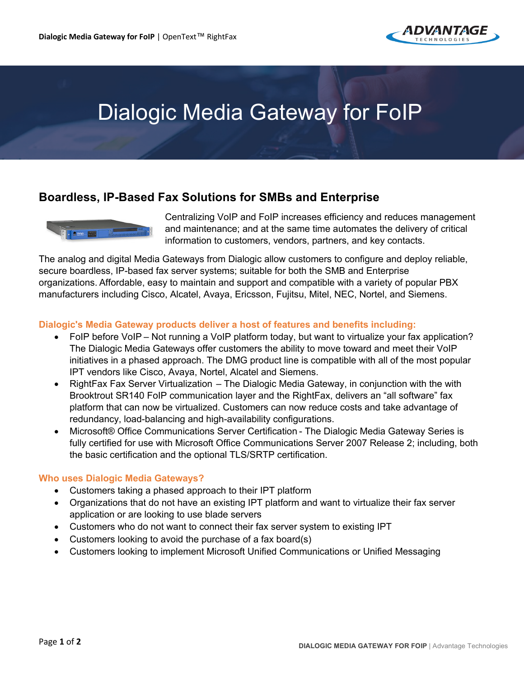

# Dialogic Media Gateway for FoIP

## **Boardless, IP-Based Fax Solutions for SMBs and Enterprise**



Centralizing VoIP and FoIP increases efficiency and reduces management and maintenance; and at the same time automates the delivery of critical information to customers, vendors, partners, and key contacts.

The analog and digital Media Gateways from Dialogic allow customers to configure and deploy reliable, secure boardless, IP-based fax server systems; suitable for both the SMB and Enterprise organizations. Affordable, easy to maintain and support and compatible with a variety of popular PBX manufacturers including Cisco, Alcatel, Avaya, Ericsson, Fujitsu, Mitel, NEC, Nortel, and Siemens.

#### **Dialogic's Media Gateway products deliver a host of features and benefits including:**

- FoIP before VoIP Not running a VoIP platform today, but want to virtualize your fax application? The Dialogic Media Gateways offer customers the ability to move toward and meet their VoIP initiatives in a phased approach. The DMG product line is compatible with all of the most popular IPT vendors like Cisco, Avaya, Nortel, Alcatel and Siemens.
- RightFax Fax Server Virtualization The Dialogic Media Gateway, in conjunction with the with Brooktrout SR140 FoIP communication layer and the RightFax, delivers an "all software" fax platform that can now be virtualized. Customers can now reduce costs and take advantage of redundancy, load-balancing and high-availability configurations.
- Microsoft® Office Communications Server Certification - The Dialogic Media Gateway Series is fully certified for use with Microsoft Office Communications Server 2007 Release 2; including, both the basic certification and the optional TLS/SRTP certification.

#### **Who uses Dialogic Media Gateways?**

- Customers taking a phased approach to their IPT platform
- Organizations that do not have an existing IPT platform and want to virtualize their fax server application or are looking to use blade servers
- Customers who do not want to connect their fax server system to existing IPT
- Customers looking to avoid the purchase of a fax board(s)
- Customers looking to implement Microsoft Unified Communications or Unified Messaging